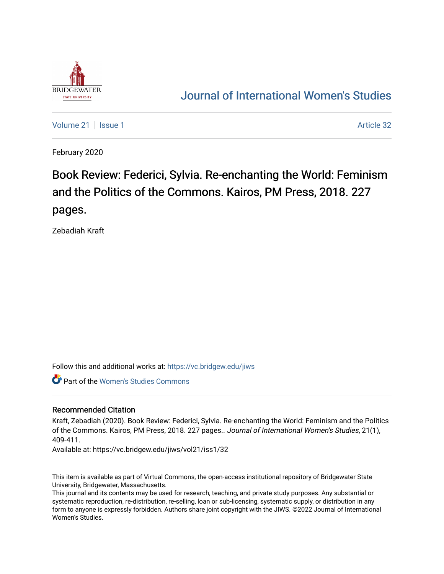

## [Journal of International Women's Studies](https://vc.bridgew.edu/jiws)

[Volume 21](https://vc.bridgew.edu/jiws/vol21) | [Issue 1](https://vc.bridgew.edu/jiws/vol21/iss1) Article 32

February 2020

# Book Review: Federici, Sylvia. Re-enchanting the World: Feminism and the Politics of the Commons. Kairos, PM Press, 2018. 227 pages.

Zebadiah Kraft

Follow this and additional works at: [https://vc.bridgew.edu/jiws](https://vc.bridgew.edu/jiws?utm_source=vc.bridgew.edu%2Fjiws%2Fvol21%2Fiss1%2F32&utm_medium=PDF&utm_campaign=PDFCoverPages)

Part of the [Women's Studies Commons](http://network.bepress.com/hgg/discipline/561?utm_source=vc.bridgew.edu%2Fjiws%2Fvol21%2Fiss1%2F32&utm_medium=PDF&utm_campaign=PDFCoverPages) 

#### Recommended Citation

Kraft, Zebadiah (2020). Book Review: Federici, Sylvia. Re-enchanting the World: Feminism and the Politics of the Commons. Kairos, PM Press, 2018. 227 pages.. Journal of International Women's Studies, 21(1), 409-411.

Available at: https://vc.bridgew.edu/jiws/vol21/iss1/32

This item is available as part of Virtual Commons, the open-access institutional repository of Bridgewater State University, Bridgewater, Massachusetts.

This journal and its contents may be used for research, teaching, and private study purposes. Any substantial or systematic reproduction, re-distribution, re-selling, loan or sub-licensing, systematic supply, or distribution in any form to anyone is expressly forbidden. Authors share joint copyright with the JIWS. ©2022 Journal of International Women's Studies.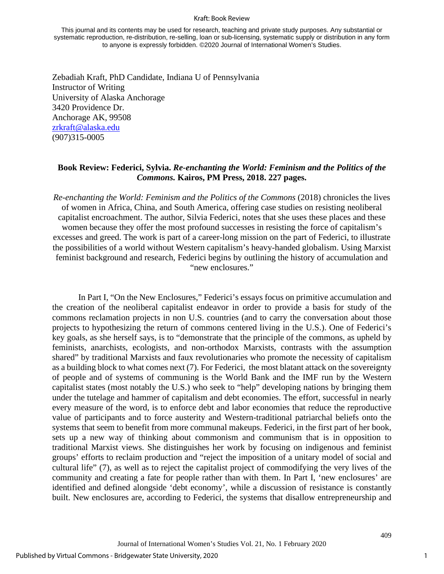#### Kraft: Book Review

This journal and its contents may be used for research, teaching and private study purposes. Any substantial or systematic reproduction, re-distribution, re-selling, loan or sub-licensing, systematic supply or distribution in any form to anyone is expressly forbidden. ©2020 Journal of International Women's Studies.

Zebadiah Kraft, PhD Candidate, Indiana U of Pennsylvania Instructor of Writing University of Alaska Anchorage 3420 Providence Dr. Anchorage AK, 99508 [zrkraft@alaska.edu](mailto:zrkraft@alaska.edu) (907)315-0005

### **Book Review: Federici, Sylvia.** *Re-enchanting the World: Feminism and the Politics of the Commons.* **Kairos, PM Press, 2018. 227 pages.**

*Re-enchanting the World: Feminism and the Politics of the Commons* (2018) chronicles the lives of women in Africa, China, and South America, offering case studies on resisting neoliberal capitalist encroachment. The author, Silvia Federici, notes that she uses these places and these women because they offer the most profound successes in resisting the force of capitalism's excesses and greed. The work is part of a career-long mission on the part of Federici, to illustrate the possibilities of a world without Western capitalism's heavy-handed globalism. Using Marxist feminist background and research, Federici begins by outlining the history of accumulation and "new enclosures."

In Part I, "On the New Enclosures," Federici's essays focus on primitive accumulation and the creation of the neoliberal capitalist endeavor in order to provide a basis for study of the commons reclamation projects in non U.S. countries (and to carry the conversation about those projects to hypothesizing the return of commons centered living in the U.S.). One of Federici's key goals, as she herself says, is to "demonstrate that the principle of the commons, as upheld by feminists, anarchists, ecologists, and non-orthodox Marxists, contrasts with the assumption shared" by traditional Marxists and faux revolutionaries who promote the necessity of capitalism as a building block to what comes next (7). For Federici, the most blatant attack on the sovereignty of people and of systems of communing is the World Bank and the IMF run by the Western capitalist states (most notably the U.S.) who seek to "help" developing nations by bringing them under the tutelage and hammer of capitalism and debt economies. The effort, successful in nearly every measure of the word, is to enforce debt and labor economies that reduce the reproductive value of participants and to force austerity and Western-traditional patriarchal beliefs onto the systems that seem to benefit from more communal makeups. Federici, in the first part of her book, sets up a new way of thinking about commonism and communism that is in opposition to traditional Marxist views. She distinguishes her work by focusing on indigenous and feminist groups' efforts to reclaim production and "reject the imposition of a unitary model of social and cultural life" (7), as well as to reject the capitalist project of commodifying the very lives of the community and creating a fate for people rather than with them. In Part I, 'new enclosures' are identified and defined alongside 'debt economy', while a discussion of resistance is constantly built. New enclosures are, according to Federici, the systems that disallow entrepreneurship and

1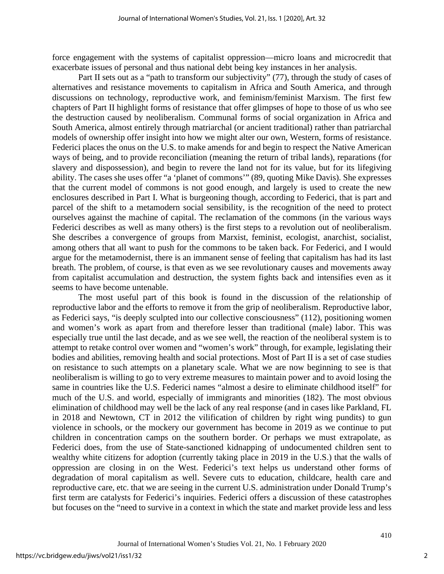force engagement with the systems of capitalist oppression—micro loans and microcredit that exacerbate issues of personal and thus national debt being key instances in her analysis.

Part II sets out as a "path to transform our subjectivity" (77), through the study of cases of alternatives and resistance movements to capitalism in Africa and South America, and through discussions on technology, reproductive work, and feminism/feminist Marxism. The first few chapters of Part II highlight forms of resistance that offer glimpses of hope to those of us who see the destruction caused by neoliberalism. Communal forms of social organization in Africa and South America, almost entirely through matriarchal (or ancient traditional) rather than patriarchal models of ownership offer insight into how we might alter our own, Western, forms of resistance. Federici places the onus on the U.S. to make amends for and begin to respect the Native American ways of being, and to provide reconciliation (meaning the return of tribal lands), reparations (for slavery and dispossession), and begin to revere the land not for its value, but for its lifegiving ability. The cases she uses offer "a 'planet of commons'" (89, quoting Mike Davis). She expresses that the current model of commons is not good enough, and largely is used to create the new enclosures described in Part I. What is burgeoning though, according to Federici, that is part and parcel of the shift to a metamodern social sensibility, is the recognition of the need to protect ourselves against the machine of capital. The reclamation of the commons (in the various ways Federici describes as well as many others) is the first steps to a revolution out of neoliberalism. She describes a convergence of groups from Marxist, feminist, ecologist, anarchist, socialist, among others that all want to push for the commons to be taken back. For Federici, and I would argue for the metamodernist, there is an immanent sense of feeling that capitalism has had its last breath. The problem, of course, is that even as we see revolutionary causes and movements away from capitalist accumulation and destruction, the system fights back and intensifies even as it seems to have become untenable.

The most useful part of this book is found in the discussion of the relationship of reproductive labor and the efforts to remove it from the grip of neoliberalism. Reproductive labor, as Federici says, "is deeply sculpted into our collective consciousness" (112), positioning women and women's work as apart from and therefore lesser than traditional (male) labor. This was especially true until the last decade, and as we see well, the reaction of the neoliberal system is to attempt to retake control over women and "women's work" through, for example, legislating their bodies and abilities, removing health and social protections. Most of Part II is a set of case studies on resistance to such attempts on a planetary scale. What we are now beginning to see is that neoliberalism is willing to go to very extreme measures to maintain power and to avoid losing the same in countries like the U.S. Federici names "almost a desire to eliminate childhood itself" for much of the U.S. and world, especially of immigrants and minorities (182). The most obvious elimination of childhood may well be the lack of any real response (and in cases like Parkland, FL in 2018 and Newtown, CT in 2012 the vilification of children by right wing pundits) to gun violence in schools, or the mockery our government has become in 2019 as we continue to put children in concentration camps on the southern border. Or perhaps we must extrapolate, as Federici does, from the use of State-sanctioned kidnapping of undocumented children sent to wealthy white citizens for adoption (currently taking place in 2019 in the U.S.) that the walls of oppression are closing in on the West. Federici's text helps us understand other forms of degradation of moral capitalism as well. Severe cuts to education, childcare, health care and reproductive care, etc. that we are seeing in the current U.S. administration under Donald Trump's first term are catalysts for Federici's inquiries. Federici offers a discussion of these catastrophes but focuses on the "need to survive in a context in which the state and market provide less and less

410